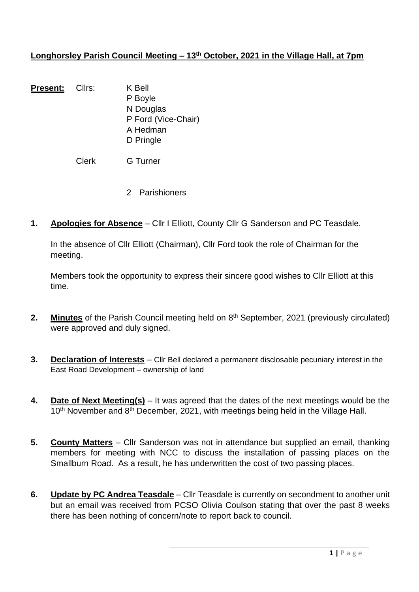## **Longhorsley Parish Council Meeting – 13th October, 2021 in the Village Hall, at 7pm**

Present: Cllrs: K Bell P Boyle N Douglas P Ford (Vice-Chair) A Hedman D Pringle

Clerk G Turner

- 2 Parishioners
- **1. Apologies for Absence** Cllr I Elliott, County Cllr G Sanderson and PC Teasdale.

In the absence of Cllr Elliott (Chairman), Cllr Ford took the role of Chairman for the meeting.

Members took the opportunity to express their sincere good wishes to Cllr Elliott at this time.

- 2. Minutes of the Parish Council meeting held on 8<sup>th</sup> September, 2021 (previously circulated) were approved and duly signed.
- **3. Declaration of Interests** Cllr Bell declared a permanent disclosable pecuniary interest in the East Road Development – ownership of land
- **4. Date of Next Meeting(s)** It was agreed that the dates of the next meetings would be the 10<sup>th</sup> November and 8<sup>th</sup> December, 2021, with meetings being held in the Village Hall.
- **5. County Matters** Cllr Sanderson was not in attendance but supplied an email, thanking members for meeting with NCC to discuss the installation of passing places on the Smallburn Road. As a result, he has underwritten the cost of two passing places.
- **6. Update by PC Andrea Teasdale** Cllr Teasdale is currently on secondment to another unit but an email was received from PCSO Olivia Coulson stating that over the past 8 weeks there has been nothing of concern/note to report back to council.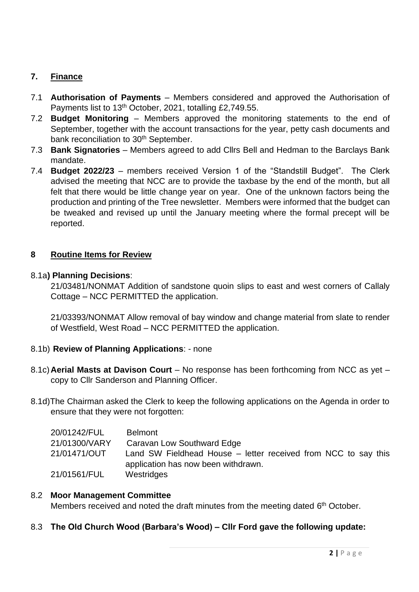# **7. Finance**

- 7.1 **Authorisation of Payments** Members considered and approved the Authorisation of Payments list to 13<sup>th</sup> October, 2021, totalling £2,749.55.
- 7.2 **Budget Monitoring** Members approved the monitoring statements to the end of September, together with the account transactions for the year, petty cash documents and bank reconciliation to 30<sup>th</sup> September.
- 7.3 **Bank Signatories**  Members agreed to add Cllrs Bell and Hedman to the Barclays Bank mandate.
- 7.4 **Budget 2022/23** members received Version 1 of the "Standstill Budget". The Clerk advised the meeting that NCC are to provide the taxbase by the end of the month, but all felt that there would be little change year on year. One of the unknown factors being the production and printing of the Tree newsletter. Members were informed that the budget can be tweaked and revised up until the January meeting where the formal precept will be reported.

## **8 Routine Items for Review**

## 8.1a**) Planning Decisions**:

21/03481/NONMAT Addition of sandstone quoin slips to east and west corners of Callaly Cottage – NCC PERMITTED the application.

21/03393/NONMAT Allow removal of bay window and change material from slate to render of Westfield, West Road – NCC PERMITTED the application.

## 8.1b) **Review of Planning Applications**: - none

- 8.1c)**Aerial Masts at Davison Court** No response has been forthcoming from NCC as yet copy to Cllr Sanderson and Planning Officer.
- 8.1d)The Chairman asked the Clerk to keep the following applications on the Agenda in order to ensure that they were not forgotten:

| 20/01242/FUL  | <b>Belmont</b>                                                                                        |
|---------------|-------------------------------------------------------------------------------------------------------|
| 21/01300/VARY | Caravan Low Southward Edge                                                                            |
| 21/01471/OUT  | Land SW Fieldhead House – letter received from NCC to say this<br>application has now been withdrawn. |
| 21/01561/FUL  | Westridges                                                                                            |

## 8.2 **Moor Management Committee**

Members received and noted the draft minutes from the meeting dated 6<sup>th</sup> October.

## 8.3 **The Old Church Wood (Barbara's Wood) – Cllr Ford gave the following update:**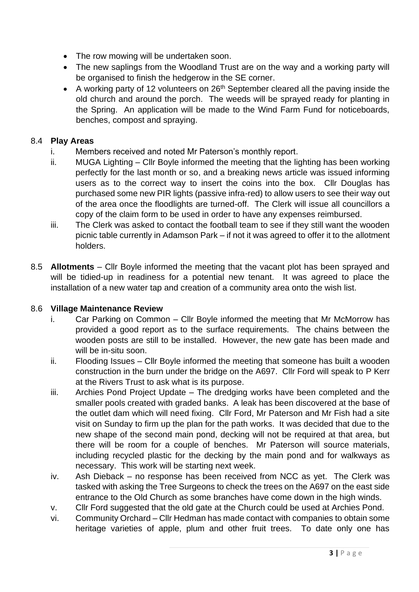- The row mowing will be undertaken soon.
- The new saplings from the Woodland Trust are on the way and a working party will be organised to finish the hedgerow in the SE corner.
- A working party of 12 volunteers on  $26<sup>th</sup>$  September cleared all the paving inside the old church and around the porch. The weeds will be sprayed ready for planting in the Spring. An application will be made to the Wind Farm Fund for noticeboards, benches, compost and spraying.

## 8.4 **Play Areas**

- i. Members received and noted Mr Paterson's monthly report.
- ii. MUGA Lighting Cllr Boyle informed the meeting that the lighting has been working perfectly for the last month or so, and a breaking news article was issued informing users as to the correct way to insert the coins into the box. Cllr Douglas has purchased some new PIR lights (passive infra-red) to allow users to see their way out of the area once the floodlights are turned-off. The Clerk will issue all councillors a copy of the claim form to be used in order to have any expenses reimbursed.
- iii. The Clerk was asked to contact the football team to see if they still want the wooden picnic table currently in Adamson Park – if not it was agreed to offer it to the allotment holders.
- 8.5 **Allotments** Cllr Boyle informed the meeting that the vacant plot has been sprayed and will be tidied-up in readiness for a potential new tenant. It was agreed to place the installation of a new water tap and creation of a community area onto the wish list.

#### 8.6 **Village Maintenance Review**

- i. Car Parking on Common Cllr Boyle informed the meeting that Mr McMorrow has provided a good report as to the surface requirements. The chains between the wooden posts are still to be installed. However, the new gate has been made and will be in-situ soon.
- ii. Flooding Issues Cllr Boyle informed the meeting that someone has built a wooden construction in the burn under the bridge on the A697. Cllr Ford will speak to P Kerr at the Rivers Trust to ask what is its purpose.
- iii. Archies Pond Project Update The dredging works have been completed and the smaller pools created with graded banks. A leak has been discovered at the base of the outlet dam which will need fixing. Cllr Ford, Mr Paterson and Mr Fish had a site visit on Sunday to firm up the plan for the path works. It was decided that due to the new shape of the second main pond, decking will not be required at that area, but there will be room for a couple of benches. Mr Paterson will source materials, including recycled plastic for the decking by the main pond and for walkways as necessary. This work will be starting next week.
- iv. Ash Dieback no response has been received from NCC as yet. The Clerk was tasked with asking the Tree Surgeons to check the trees on the A697 on the east side entrance to the Old Church as some branches have come down in the high winds.
- v. Cllr Ford suggested that the old gate at the Church could be used at Archies Pond.
- vi. Community Orchard Cllr Hedman has made contact with companies to obtain some heritage varieties of apple, plum and other fruit trees. To date only one has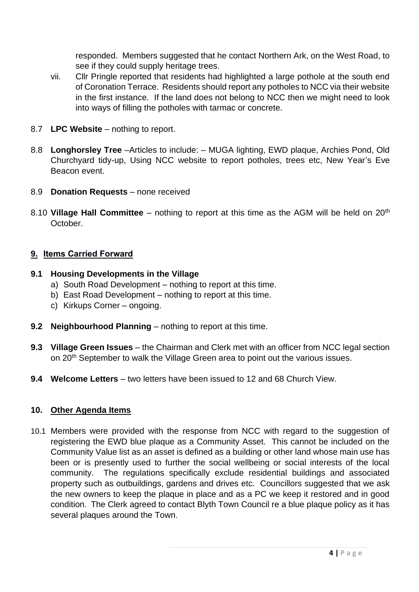responded. Members suggested that he contact Northern Ark, on the West Road, to see if they could supply heritage trees.

- vii. Cllr Pringle reported that residents had highlighted a large pothole at the south end of Coronation Terrace. Residents should report any potholes to NCC via their website in the first instance. If the land does not belong to NCC then we might need to look into ways of filling the potholes with tarmac or concrete.
- 8.7 **LPC Website** nothing to report.
- 8.8 **Longhorsley Tree** –Articles to include: MUGA lighting, EWD plaque, Archies Pond, Old Churchyard tidy-up, Using NCC website to report potholes, trees etc, New Year's Eve Beacon event.
- 8.9 **Donation Requests** none received
- 8.10 **Village Hall Committee** nothing to report at this time as the AGM will be held on 20th October.

#### **9. Items Carried Forward**

#### **9.1 Housing Developments in the Village**

- a) South Road Development nothing to report at this time.
- b) East Road Development nothing to report at this time.
- c) Kirkups Corner ongoing.
- **9.2 Neighbourhood Planning** nothing to report at this time.
- **9.3 Village Green Issues** the Chairman and Clerk met with an officer from NCC legal section on 20<sup>th</sup> September to walk the Village Green area to point out the various issues.
- **9.4 Welcome Letters** two letters have been issued to 12 and 68 Church View.

#### **10. Other Agenda Items**

10.1 Members were provided with the response from NCC with regard to the suggestion of registering the EWD blue plaque as a Community Asset. This cannot be included on the Community Value list as an asset is defined as a building or other land whose main use has been or is presently used to further the social wellbeing or social interests of the local community. The regulations specifically exclude residential buildings and associated property such as outbuildings, gardens and drives etc. Councillors suggested that we ask the new owners to keep the plaque in place and as a PC we keep it restored and in good condition. The Clerk agreed to contact Blyth Town Council re a blue plaque policy as it has several plaques around the Town.